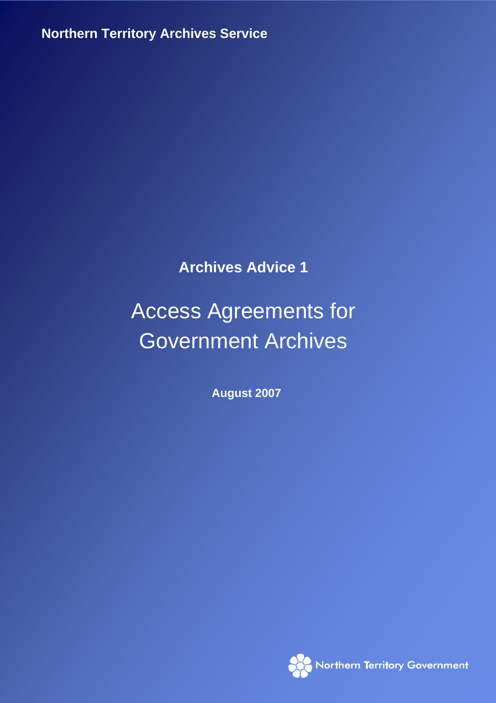**Northern Territory Archives Service**

**Archives Advice 1** 

# Access Agreements for Government Archives

**August 2007** 

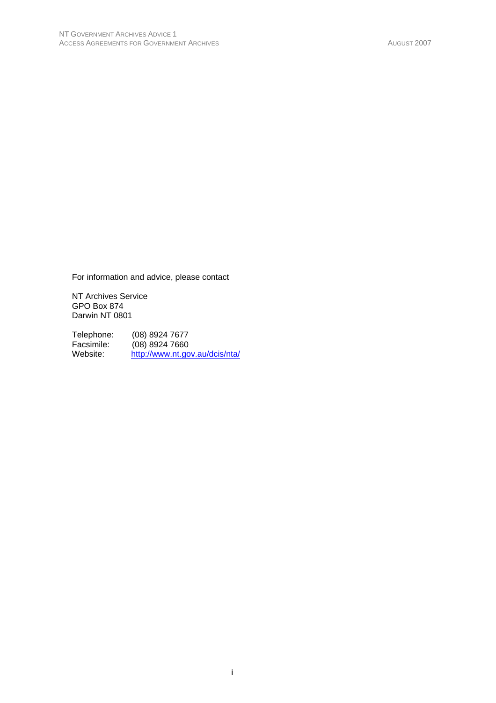For information and advice, please contact

NT Archives Service GPO Box 874 Darwin NT 0801

Telephone: (08) 8924 7677<br>Facsimile: (08) 8924 7660 Facsimile: (08) 8924 7660<br>Website: http://www.nt.go http://www.nt.gov.au/dcis/nta/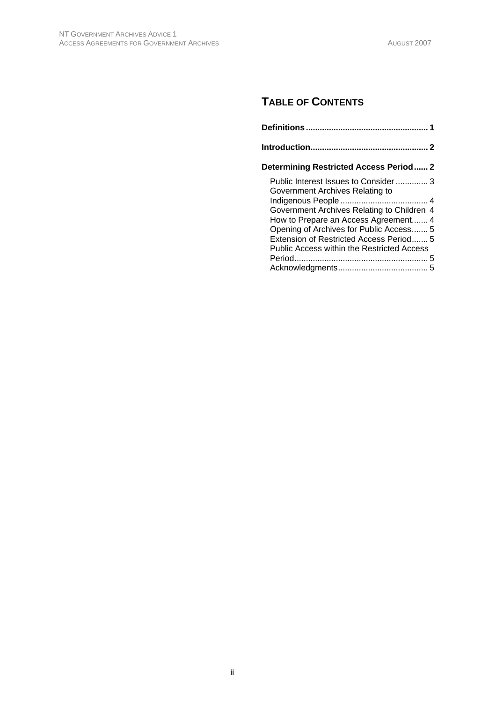# **TABLE OF CONTENTS**

| Determining Restricted Access Period 2                                  |
|-------------------------------------------------------------------------|
| Public Interest Issues to Consider 3<br>Government Archives Relating to |
| Government Archives Relating to Children 4                              |
| How to Prepare an Access Agreement 4                                    |
| Opening of Archives for Public Access 5                                 |
| Extension of Restricted Access Period 5                                 |
| Public Access within the Restricted Access                              |
|                                                                         |
|                                                                         |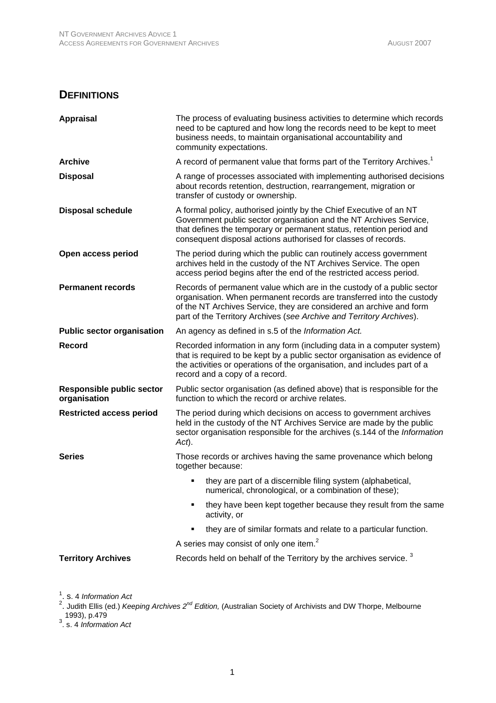# **DEFINITIONS**

| <b>Appraisal</b>                                 | The process of evaluating business activities to determine which records<br>need to be captured and how long the records need to be kept to meet<br>business needs, to maintain organisational accountability and<br>community expectations.                                                   |
|--------------------------------------------------|------------------------------------------------------------------------------------------------------------------------------------------------------------------------------------------------------------------------------------------------------------------------------------------------|
| <b>Archive</b>                                   | A record of permanent value that forms part of the Territory Archives. <sup>1</sup>                                                                                                                                                                                                            |
| <b>Disposal</b>                                  | A range of processes associated with implementing authorised decisions<br>about records retention, destruction, rearrangement, migration or<br>transfer of custody or ownership.                                                                                                               |
| <b>Disposal schedule</b>                         | A formal policy, authorised jointly by the Chief Executive of an NT<br>Government public sector organisation and the NT Archives Service,<br>that defines the temporary or permanent status, retention period and<br>consequent disposal actions authorised for classes of records.            |
| Open access period                               | The period during which the public can routinely access government<br>archives held in the custody of the NT Archives Service. The open<br>access period begins after the end of the restricted access period.                                                                                 |
| <b>Permanent records</b>                         | Records of permanent value which are in the custody of a public sector<br>organisation. When permanent records are transferred into the custody<br>of the NT Archives Service, they are considered an archive and form<br>part of the Territory Archives (see Archive and Territory Archives). |
| <b>Public sector organisation</b>                | An agency as defined in s.5 of the Information Act.                                                                                                                                                                                                                                            |
| <b>Record</b>                                    | Recorded information in any form (including data in a computer system)<br>that is required to be kept by a public sector organisation as evidence of<br>the activities or operations of the organisation, and includes part of a<br>record and a copy of a record.                             |
| <b>Responsible public sector</b><br>organisation | Public sector organisation (as defined above) that is responsible for the<br>function to which the record or archive relates.                                                                                                                                                                  |
| <b>Restricted access period</b>                  | The period during which decisions on access to government archives<br>held in the custody of the NT Archives Service are made by the public<br>sector organisation responsible for the archives (s.144 of the Information<br>Act).                                                             |
| <b>Series</b>                                    | Those records or archives having the same provenance which belong<br>together because:                                                                                                                                                                                                         |
|                                                  | they are part of a discernible filing system (alphabetical,<br>numerical, chronological, or a combination of these);                                                                                                                                                                           |
|                                                  | they have been kept together because they result from the same<br>activity, or                                                                                                                                                                                                                 |
|                                                  | they are of similar formats and relate to a particular function.                                                                                                                                                                                                                               |
|                                                  | A series may consist of only one item. <sup>2</sup>                                                                                                                                                                                                                                            |
| <b>Territory Archives</b>                        | Records held on behalf of the Territory by the archives service. <sup>3</sup>                                                                                                                                                                                                                  |

<sup>1</sup>. s. 4 *Information Act*<br><sup>2</sup>. Judith Ellis (ed.) *Keeping Archives 2<sup>nd</sup> Edition,* (Australian Society of Archivists and DW Thorpe, Melbourne 1993), p.479 3 . s. 4 *Information Act*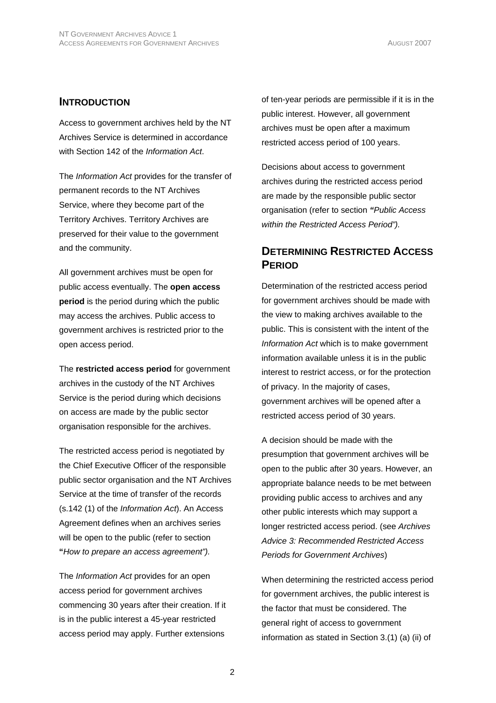#### **INTRODUCTION**

Access to government archives held by the NT Archives Service is determined in accordance with Section 142 of the *Information Act*.

The *Information Act* provides for the transfer of permanent records to the NT Archives Service, where they become part of the Territory Archives. Territory Archives are preserved for their value to the government and the community.

All government archives must be open for public access eventually. The **open access period** is the period during which the public may access the archives. Public access to government archives is restricted prior to the open access period.

The **restricted access period** for government archives in the custody of the NT Archives Service is the period during which decisions on access are made by the public sector organisation responsible for the archives.

The restricted access period is negotiated by the Chief Executive Officer of the responsible public sector organisation and the NT Archives Service at the time of transfer of the records (s.142 (1) of the *Information Act*). An Access Agreement defines when an archives series will be open to the public (refer to section **"***How to prepare an access agreement").*

The *Information Act* provides for an open access period for government archives commencing 30 years after their creation. If it is in the public interest a 45-year restricted access period may apply. Further extensions

of ten-year periods are permissible if it is in the public interest. However, all government archives must be open after a maximum restricted access period of 100 years.

Decisions about access to government archives during the restricted access period are made by the responsible public sector organisation (refer to section *"Public Access within the Restricted Access Period").*

# **DETERMINING RESTRICTED ACCESS PERIOD**

Determination of the restricted access period for government archives should be made with the view to making archives available to the public. This is consistent with the intent of the *Information Act* which is to make government information available unless it is in the public interest to restrict access, or for the protection of privacy. In the majority of cases, government archives will be opened after a restricted access period of 30 years.

A decision should be made with the presumption that government archives will be open to the public after 30 years. However, an appropriate balance needs to be met between providing public access to archives and any other public interests which may support a longer restricted access period. (see *Archives Advice 3: Recommended Restricted Access Periods for Government Archives*)

When determining the restricted access period for government archives, the public interest is the factor that must be considered. The general right of access to government information as stated in Section 3.(1) (a) (ii) of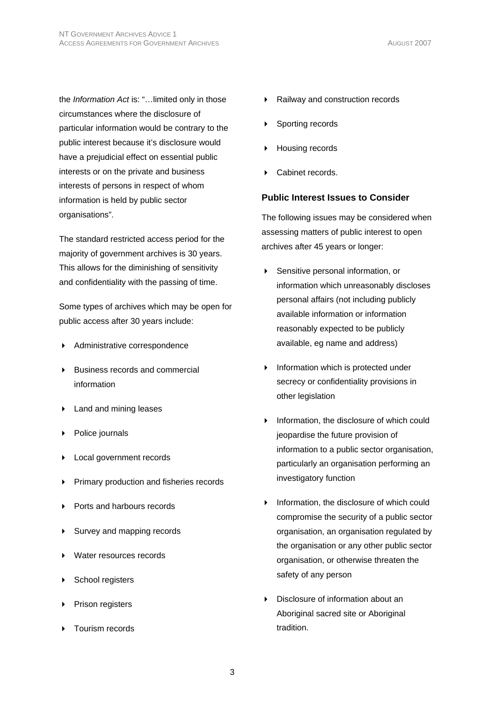the *Information Act* is: "…limited only in those circumstances where the disclosure of particular information would be contrary to the public interest because it's disclosure would have a prejudicial effect on essential public interests or on the private and business interests of persons in respect of whom information is held by public sector organisations".

The standard restricted access period for the majority of government archives is 30 years. This allows for the diminishing of sensitivity and confidentiality with the passing of time.

Some types of archives which may be open for public access after 30 years include:

- Administrative correspondence
- Business records and commercial information
- **Land and mining leases**
- ▶ Police journals
- **Local government records**
- Primary production and fisheries records
- Ports and harbours records
- ▶ Survey and mapping records
- Water resources records
- School registers
- Prison registers
- Tourism records
- Railway and construction records
- Sporting records
- Housing records
- Cabinet records.

#### **Public Interest Issues to Consider**

The following issues may be considered when assessing matters of public interest to open archives after 45 years or longer:

- Sensitive personal information, or information which unreasonably discloses personal affairs (not including publicly available information or information reasonably expected to be publicly available, eg name and address)
- $\blacktriangleright$  Information which is protected under secrecy or confidentiality provisions in other legislation
- Information, the disclosure of which could jeopardise the future provision of information to a public sector organisation, particularly an organisation performing an investigatory function
- $\triangleright$  Information, the disclosure of which could compromise the security of a public sector organisation, an organisation regulated by the organisation or any other public sector organisation, or otherwise threaten the safety of any person
- Disclosure of information about an Aboriginal sacred site or Aboriginal tradition.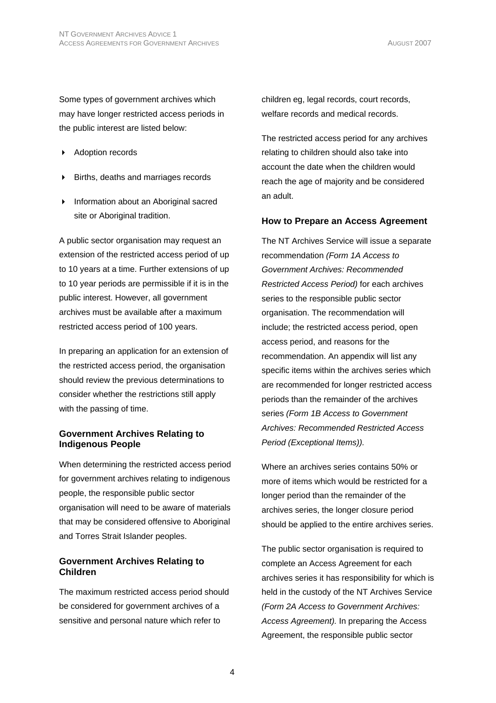Some types of government archives which may have longer restricted access periods in the public interest are listed below:

- ▶ Adoption records
- Births, deaths and marriages records
- **Information about an Aboriginal sacred** site or Aboriginal tradition.

A public sector organisation may request an extension of the restricted access period of up to 10 years at a time. Further extensions of up to 10 year periods are permissible if it is in the public interest. However, all government archives must be available after a maximum restricted access period of 100 years.

In preparing an application for an extension of the restricted access period, the organisation should review the previous determinations to consider whether the restrictions still apply with the passing of time.

#### **Government Archives Relating to Indigenous People**

When determining the restricted access period for government archives relating to indigenous people, the responsible public sector organisation will need to be aware of materials that may be considered offensive to Aboriginal and Torres Strait Islander peoples.

#### **Government Archives Relating to Children**

The maximum restricted access period should be considered for government archives of a sensitive and personal nature which refer to

children eg, legal records, court records, welfare records and medical records.

The restricted access period for any archives relating to children should also take into account the date when the children would reach the age of majority and be considered an adult.

#### **How to Prepare an Access Agreement**

The NT Archives Service will issue a separate recommendation *(Form 1A Access to Government Archives: Recommended Restricted Access Period)* for each archives series to the responsible public sector organisation. The recommendation will include; the restricted access period, open access period, and reasons for the recommendation. An appendix will list any specific items within the archives series which are recommended for longer restricted access periods than the remainder of the archives series *(Form 1B Access to Government Archives: Recommended Restricted Access Period (Exceptional Items)).* 

Where an archives series contains 50% or more of items which would be restricted for a longer period than the remainder of the archives series, the longer closure period should be applied to the entire archives series.

The public sector organisation is required to complete an Access Agreement for each archives series it has responsibility for which is held in the custody of the NT Archives Service *(Form 2A Access to Government Archives: Access Agreement).* In preparing the Access Agreement, the responsible public sector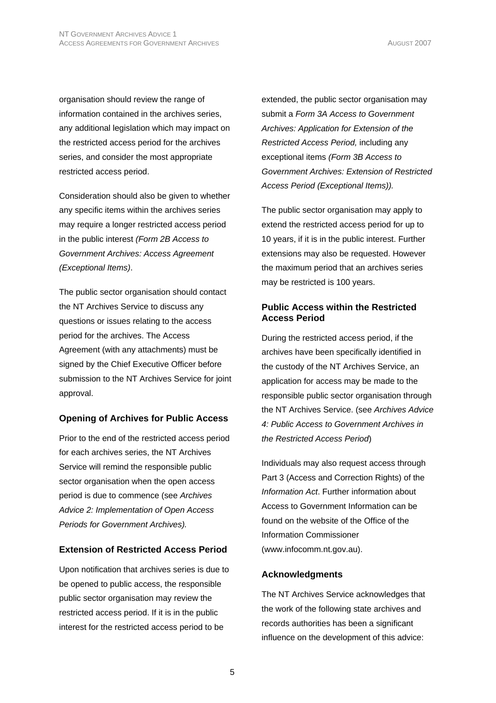organisation should review the range of information contained in the archives series, any additional legislation which may impact on the restricted access period for the archives series, and consider the most appropriate restricted access period.

Consideration should also be given to whether any specific items within the archives series may require a longer restricted access period in the public interest *(Form 2B Access to Government Archives: Access Agreement (Exceptional Items)*.

The public sector organisation should contact the NT Archives Service to discuss any questions or issues relating to the access period for the archives. The Access Agreement (with any attachments) must be signed by the Chief Executive Officer before submission to the NT Archives Service for joint approval.

#### **Opening of Archives for Public Access**

Prior to the end of the restricted access period for each archives series, the NT Archives Service will remind the responsible public sector organisation when the open access period is due to commence (see *Archives Advice 2: Implementation of Open Access Periods for Government Archives).*

## **Extension of Restricted Access Period**

Upon notification that archives series is due to be opened to public access, the responsible public sector organisation may review the restricted access period. If it is in the public interest for the restricted access period to be

extended, the public sector organisation may submit a *Form 3A Access to Government Archives: Application for Extension of the Restricted Access Period,* including any exceptional items *(Form 3B Access to Government Archives: Extension of Restricted Access Period (Exceptional Items)).*

The public sector organisation may apply to extend the restricted access period for up to 10 years, if it is in the public interest. Further extensions may also be requested. However the maximum period that an archives series may be restricted is 100 years.

#### **Public Access within the Restricted Access Period**

During the restricted access period, if the archives have been specifically identified in the custody of the NT Archives Service, an application for access may be made to the responsible public sector organisation through the NT Archives Service. (see *Archives Advice 4: Public Access to Government Archives in the Restricted Access Period*)

Individuals may also request access through Part 3 (Access and Correction Rights) of the *Information Act*. Further information about Access to Government Information can be found on the website of the Office of the Information Commissioner (www.infocomm.nt.gov.au).

## **Acknowledgments**

The NT Archives Service acknowledges that the work of the following state archives and records authorities has been a significant influence on the development of this advice: